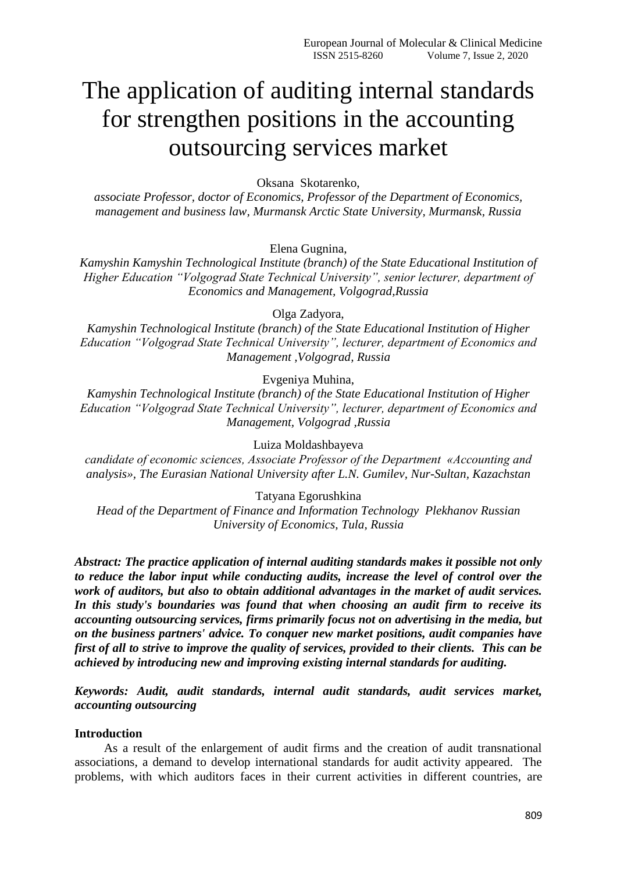# The application of auditing internal standards for strengthen positions in the accounting outsourcing services market

Oksana Skotarenko,

*associate Professor, doctor of Economics, Professor of the Department of Economics, management and business law, Murmansk Arctic State University, Murmansk, Russia*

Elena Gugnina,

*Kamyshin Kamyshin Technological Institute (branch) of the State Educational Institution of Higher Education "Volgograd State Technical University", senior lecturer, department of Economics and Management, Volgograd,Russia*

Olga Zadyora,

*Kamyshin Technological Institute (branch) of the State Educational Institution of Higher Education "Volgograd State Technical University", lecturer, department of Economics and Management ,Volgograd, Russia*

Evgeniya Muhina,

*Kamyshin Technological Institute (branch) of the State Educational Institution of Higher Education "Volgograd State Technical University", lecturer, department of Economics and Management, Volgograd ,Russia*

Luiza Moldashbayeva

*сandidate of economic sciences, Associate Professor of the Department «Accounting and analysis», The Eurasian National University after L.N. Gumilev, [Nur-Sultan,](https://en.wikipedia.org/wiki/Nur-Sultan) Kazachstan*

Tatyana Egorushkina

*Head of the Department of Finance and Information Technology Plekhanov Russian University of Economics, Tula, Russia*

*Abstract: The practice application of internal auditing standards makes it possible not only to reduce the labor input while conducting audits, increase the level of control over the work of auditors, but also to obtain additional advantages in the market of audit services. In this study's boundaries was found that when choosing an audit firm to receive its accounting outsourcing services, firms primarily focus not on advertising in the media, but on the business partners' advice. To conquer new market positions, audit companies have first of all to strive to improve the quality of services, provided to their clients. This can be achieved by introducing new and improving existing internal standards for auditing.*

*Keywords: Audit, audit standards, internal audit standards, audit services market, accounting outsourcing*

### **Introduction**

As a result of the enlargement of audit firms and the creation of audit transnational associations, a demand to develop international standards for audit activity appeared. The problems, with which auditors faces in their current activities in different countries, are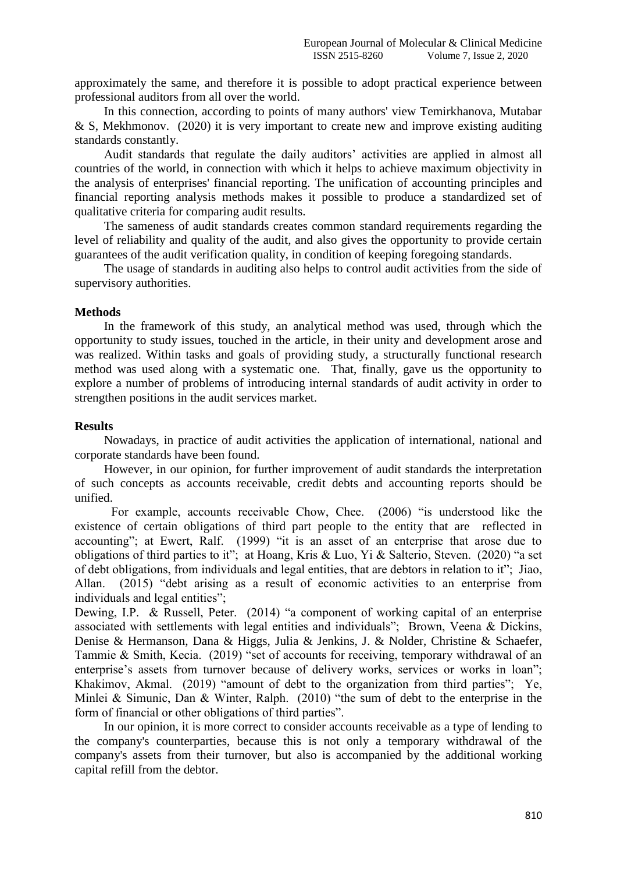approximately the same, and therefore it is possible to adopt practical experience between professional auditors from all over the world.

In this connection, according to points of many authors' view Temirkhanova, Mutabar & S, Mekhmonov. (2020) it is very important to create new and improve existing auditing standards constantly.

Audit standards that regulate the daily auditors' activities are applied in almost all countries of the world, in connection with which it helps to achieve maximum objectivity in the analysis of enterprises' financial reporting. The unification of accounting principles and financial reporting analysis methods makes it possible to produce a standardized set of qualitative criteria for comparing audit results.

The sameness of audit standards creates common standard requirements regarding the level of reliability and quality of the audit, and also gives the opportunity to provide certain guarantees of the audit verification quality, in condition of keeping foregoing standards.

The usage of standards in auditing also helps to control audit activities from the side of supervisory authorities.

## **Methods**

In the framework of this study, an analytical method was used, through which the opportunity to study issues, touched in the article, in their unity and development arose and was realized. Within tasks and goals of providing study, a structurally functional research method was used along with a systematic one. That, finally, gave us the opportunity to explore a number of problems of introducing internal standards of audit activity in order to strengthen positions in the audit services market.

## **Results**

Nowadays, in practice of audit activities the application of international, national and corporate standards have been found.

However, in our opinion, for further improvement of audit standards the interpretation of such concepts as accounts receivable, credit debts and accounting reports should be unified.

For example, accounts receivable Chow, Chee. (2006) "is understood like the existence of certain obligations of third part people to the entity that are reflected in accounting"; at Ewert, Ralf. (1999) "it is an asset of an enterprise that arose due to obligations of third parties to it"; at Hoang, Kris & Luo, Yi & Salterio, Steven. (2020) "a set of debt obligations, from individuals and legal entities, that are debtors in relation to it"; Jiao, Allan. (2015) "debt arising as a result of economic activities to an enterprise from individuals and legal entities":

Dewing, I.P. & Russell, Peter. (2014) "a component of working capital of an enterprise associated with settlements with legal entities and individuals"; Brown, Veena & Dickins, Denise & Hermanson, Dana & Higgs, Julia & Jenkins, J. & Nolder, Christine & Schaefer, Tammie & Smith, Kecia. (2019) "set of accounts for receiving, temporary withdrawal of an enterprise's assets from turnover because of delivery works, services or works in loan"; Khakimov, Akmal. (2019) "amount of debt to the organization from third parties"; Ye, Minlei & Simunic, Dan & Winter, Ralph. (2010) "the sum of debt to the enterprise in the form of financial or other obligations of third parties".

In our opinion, it is more correct to consider accounts receivable as a type of lending to the company's counterparties, because this is not only a temporary withdrawal of the company's assets from their turnover, but also is accompanied by the additional working capital refill from the debtor.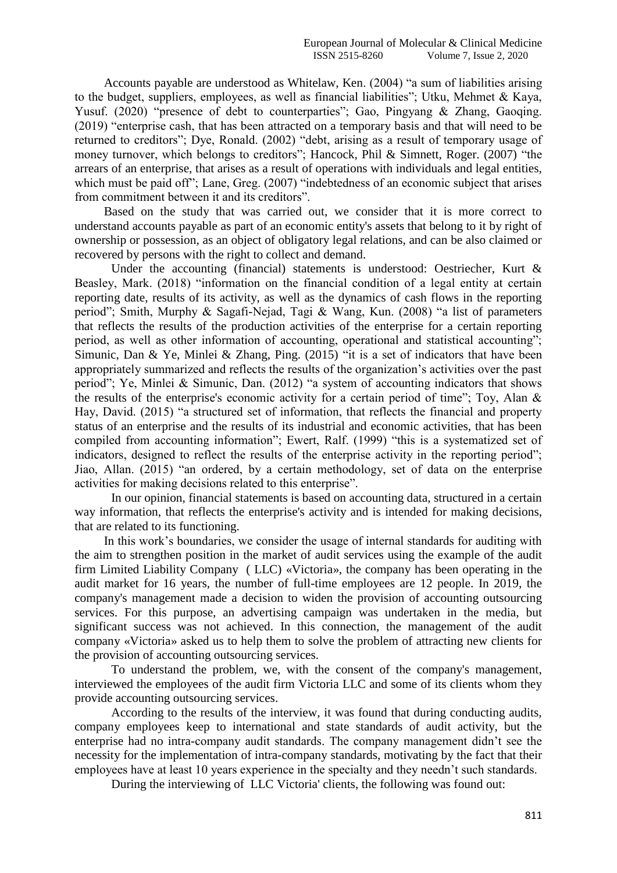Accounts payable are understood as Whitelaw, Ken. (2004) "a sum of liabilities arising to the budget, suppliers, employees, as well as financial liabilities"; Utku, Mehmet & Kaya, Yusuf. (2020) "presence of debt to counterparties"; Gao, Pingyang & Zhang, Gaoqing. (2019) "enterprise cash, that has been attracted on a temporary basis and that will need to be returned to creditors"; Dye, Ronald. (2002) "debt, arising as a result of temporary usage of money turnover, which belongs to creditors"; Hancock, Phil & Simnett, Roger. (2007) "the arrears of an enterprise, that arises as a result of operations with individuals and legal entities, which must be paid off"; Lane, Greg. (2007) "indebtedness of an economic subject that arises from commitment between it and its creditors".

Based on the study that was carried out, we consider that it is more correct to understand accounts payable as part of an economic entity's assets that belong to it by right of ownership or possession, as an object of obligatory legal relations, and can be also claimed or recovered by persons with the right to collect and demand.

Under the accounting (financial) statements is understood: Oestriecher, Kurt & Beasley, Mark. (2018) "information on the financial condition of a legal entity at certain reporting date, results of its activity, as well as the dynamics of cash flows in the reporting period"; Smith, Murphy & Sagafi-Nejad, Tagi & Wang, Kun. (2008) "a list of parameters that reflects the results of the production activities of the enterprise for a certain reporting period, as well as other information of accounting, operational and statistical accounting"; Simunic, Dan & Ye, Minlei & Zhang, Ping. (2015) "it is a set of indicators that have been appropriately summarized and reflects the results of the organization's activities over the past period"; Ye, Minlei & Simunic, Dan. (2012) "a system of accounting indicators that shows the results of the enterprise's economic activity for a certain period of time"; Toy, Alan & Hay, David. (2015) "a structured set of information, that reflects the financial and property status of an enterprise and the results of its industrial and economic activities, that has been compiled from accounting information"; Ewert, Ralf. (1999) "this is a systematized set of indicators, designed to reflect the results of the enterprise activity in the reporting period"; Jiao, Allan. (2015) "an ordered, by a certain methodology, set of data on the enterprise activities for making decisions related to this enterprise".

In our opinion, financial statements is based on accounting data, structured in a certain way information, that reflects the enterprise's activity and is intended for making decisions, that are related to its functioning.

In this work's boundaries, we consider the usage of internal standards for auditing with the aim to strengthen position in the market of audit services using the example of the audit firm Limited Liability Company ( LLC) «Victoria», the company has been operating in the audit market for 16 years, the number of full-time employees are 12 people. In 2019, the company's management made a decision to widen the provision of accounting outsourcing services. For this purpose, an advertising campaign was undertaken in the media, but significant success was not achieved. In this connection, the management of the audit company «Victoria» asked us to help them to solve the problem of attracting new clients for the provision of accounting outsourcing services.

To understand the problem, we, with the consent of the company's management, interviewed the employees of the audit firm Victoria LLC and some of its clients whom they provide accounting outsourcing services.

According to the results of the interview, it was found that during conducting audits, company employees keep to international and state standards of audit activity, but the enterprise had no intra-company audit standards. The company management didn't see the necessity for the implementation of intra-company standards, motivating by the fact that their employees have at least 10 years experience in the specialty and they needn't such standards.

During the interviewing of LLC Victoria' clients, the following was found out: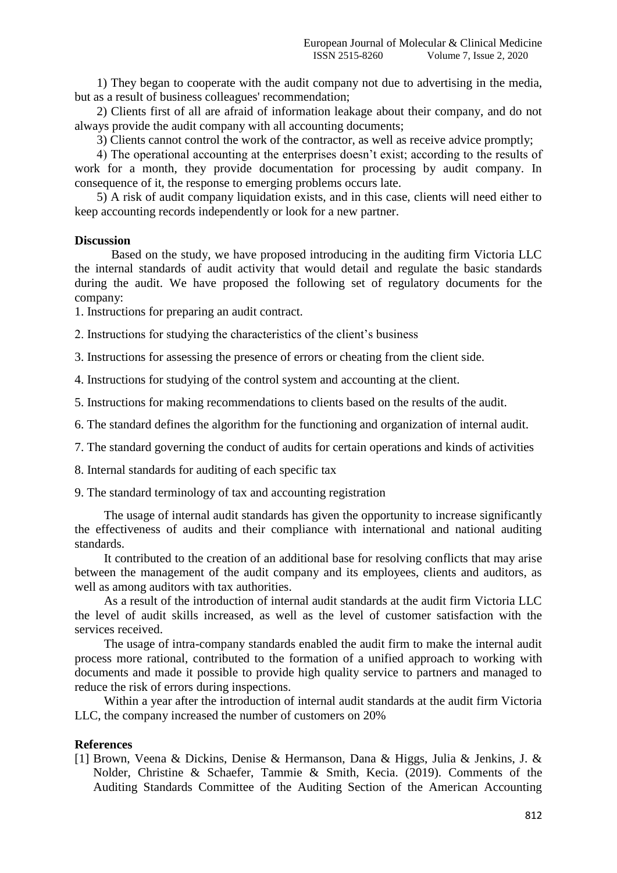1) They began to cooperate with the audit company not due to advertising in the media, but as a result of business colleagues' recommendation;

2) Clients first of all are afraid of information leakage about their company, and do not always provide the audit company with all accounting documents;

3) Clients cannot control the work of the contractor, as well as receive advice promptly;

4) The operational accounting at the enterprises doesn't exist; according to the results of work for a month, they provide documentation for processing by audit company. In consequence of it, the response to emerging problems occurs late.

5) A risk of audit company liquidation exists, and in this case, clients will need either to keep accounting records independently or look for a new partner.

#### **Discussion**

Based on the study, we have proposed introducing in the auditing firm Victoria LLC the internal standards of audit activity that would detail and regulate the basic standards during the audit. We have proposed the following set of regulatory documents for the company:

1. Instructions for preparing an audit contract.

2. Instructions for studying the characteristics of the client's business

3. Instructions for assessing the presence of errors or cheating from the client side.

4. Instructions for studying of the control system and accounting at the client.

5. Instructions for making recommendations to clients based on the results of the audit.

6. The standard defines the algorithm for the functioning and organization of internal audit.

7. The standard governing the conduct of audits for certain operations and kinds of activities

8. Internal standards for auditing of each specific tax

9. The standard terminology of tax and accounting registration

The usage of internal audit standards has given the opportunity to increase significantly the effectiveness of audits and their compliance with international and national auditing standards.

It contributed to the creation of an additional base for resolving conflicts that may arise between the management of the audit company and its employees, clients and auditors, as well as among auditors with tax authorities.

As a result of the introduction of internal audit standards at the audit firm Victoria LLC the level of audit skills increased, as well as the level of customer satisfaction with the services received.

The usage of intra-company standards enabled the audit firm to make the internal audit process more rational, contributed to the formation of a unified approach to working with documents and made it possible to provide high quality service to partners and managed to reduce the risk of errors during inspections.

Within a year after the introduction of internal audit standards at the audit firm Victoria LLC, the company increased the number of customers on 20%

## **References**

[1] Brown, Veena & Dickins, Denise & Hermanson, Dana & Higgs, Julia & Jenkins, J. & Nolder, Christine & Schaefer, Tammie & Smith, Kecia. (2019). Comments of the Auditing Standards Committee of the Auditing Section of the American Accounting